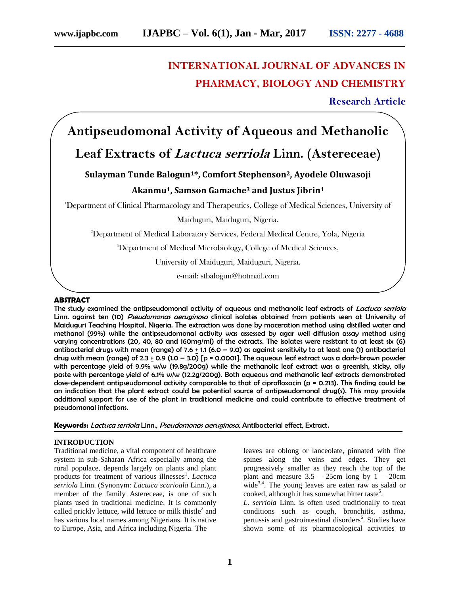## **INTERNATIONAL JOURNAL OF ADVANCES IN PHARMACY, BIOLOGY AND CHEMISTRY**

**Research Article**

# **Antipseudomonal Activity of Aqueous and Methanolic**

## **Leaf Extracts of Lactuca serriola Linn. (Astereceae)**

### **Sulayman Tunde Balogun1\*, Comfort Stephenson2, Ayodele Oluwasoji Akanmu1, Samson Gamache<sup>3</sup> and Justus Jibrin<sup>1</sup>**

<sup>1</sup>Department of Clinical Pharmacology and Therapeutics, College of Medical Sciences, University of

Maiduguri, Maiduguri, Nigeria.

<sup>2</sup>Department of Medical Laboratory Services, Federal Medical Centre, Yola, Nigeria

<sup>3</sup>Department of Medical Microbiology, College of Medical Sciences,

University of Maiduguri, Maiduguri, Nigeria.

e-mail: stbalogun@hotmail.com

#### **ABSTRACT**

The study examined the antipseudomonal activity of aqueous and methanolic leaf extracts of Lactuca serriola Linn. against ten (10) *Pseudomonas aeruginosa* clinical isolates obtained from patients seen at University of Maiduguri Teaching Hospital, Nigeria. The extraction was done by maceration method using distilled water and methanol (99%) while the antipseudomonal activity was assessed by agar well diffusion assay method using varying concentrations (20, 40, 80 and 160mg/ml) of the extracts. The isolates were resistant to at least six (6) antibacterial drugs with mean (range) of 7.6 + 1.1 (6.0 – 9.0) as against sensitivity to at least one (1) antibacterial drug with mean (range) of  $2.3 + 0.9$  (1.0 – 3.0) [p = 0.0001]. The aqueous leaf extract was a dark-brown powder with percentage yield of 9.9% w/w (19.8g/200g) while the methanolic leaf extract was a greenish, sticky, oily paste with percentage yield of 6.1% w/w (12.2g/200g). Both aqueous and methanolic leaf extracts demonstrated dose-dependent antipseudomonal activity comparable to that of ciprofloxacin (p = 0.213). This finding could be an indication that the plant extract could be potential source of antipseudomonal drug(s). This may provide additional support for use of the plant in traditional medicine and could contribute to effective treatment of pseudomonal infections.

**Keywords:** Lactuca serriola Linn., Pseudomonas aeruginosa, Antibacterial effect, Extract.

#### **INTRODUCTION**

Traditional medicine, a vital component of healthcare system in sub-Saharan Africa especially among the rural populace, depends largely on plants and plant products for treatment of various illnesses<sup>1</sup>. *Lactuca serriola* Linn. (Synonym: *Lactuca scarioala* Linn.), a member of the family Astereceae, is one of such plants used in traditional medicine. It is commonly called prickly lettuce, wild lettuce or milk thistle<sup>2</sup> and has various local names among Nigerians. It is native to Europe, Asia, and Africa including Nigeria. The

leaves are oblong or lanceolate, pinnated with fine spines along the veins and edges. They get progressively smaller as they reach the top of the plant and measure  $3.5 - 25$ cm long by  $1 - 20$ cm wide<sup>3,4</sup>. The young leaves are eaten raw as salad or cooked, although it has somewhat bitter taste<sup>5</sup>.

*L. serriola* Linn. is often used traditionally to treat conditions such as cough, bronchitis, asthma, pertussis and gastrointestinal disorders<sup>6</sup>. Studies have shown some of its pharmacological activities to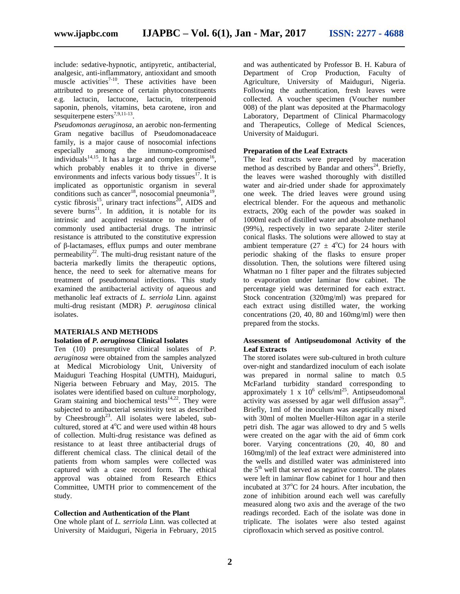include: sedative-hypnotic, antipyretic, antibacterial, analgesic, anti-inflammatory, antioxidant and smooth muscle activities<sup>7-10</sup>. These activities have been attributed to presence of certain phytoconstituents e.g. lactucin, lactucone, lactucin, triterpenoid saponin, phenols, vitamins, beta carotene, iron and sesquiterpene esters $^{7,9,11-13}$ .

*Pseudomonas aeruginosa*, an aerobic non-fermenting Gram negative bacillus of Pseudomonadaceace family, is a major cause of nosocomial infections especially among the immuno-compromised individuals<sup>14,15</sup>. It has a large and complex genome<sup>16</sup>, which probably enables it to thrive in diverse environments and infects various body tissues<sup>17</sup>. It is implicated as opportunistic organism in several conditions such as cancer<sup>18</sup>, nosocomial pneumonia<sup>19</sup>, cystic fibrosis<sup>15</sup>, urinary tract infections<sup>20</sup>, AIDS and severe burns<sup>21</sup>. In addition, it is notable for its intrinsic and acquired resistance to number of commonly used antibacterial drugs. The intrinsic resistance is attributed to the constitutive expression of β-lactamases, efflux pumps and outer membrane permeability<sup>22</sup>. The multi-drug resistant nature of the bacteria markedly limits the therapeutic options, hence, the need to seek for alternative means for treatment of pseudomonal infections. This study examined the antibacterial activity of aqueous and methanolic leaf extracts of *L. serriola* Linn. against multi-drug resistant (MDR) *P. aeruginosa* clinical isolates.

#### **MATERIALS AND METHODS Isolation of** *P. aeruginosa* **Clinical Isolates**

Ten (10) presumptive clinical isolates of *P. aeruginosa* were obtained from the samples analyzed at Medical Microbiology Unit, University of Maiduguri Teaching Hospital (UMTH), Maiduguri, Nigeria between February and May, 2015. The isolates were identified based on culture morphology, Gram staining and biochemical tests<sup>14,22</sup>. They were subjected to antibacterial sensitivity test as described by Cheesbrough<sup>23</sup>. All isolates were labeled, subcultured, stored at  $4^{\circ}$ C and were used within 48 hours of collection. Multi-drug resistance was defined as resistance to at least three antibacterial drugs of different chemical class. The clinical detail of the patients from whom samples were collected was captured with a case record form. The ethical approval was obtained from Research Ethics Committee, UMTH prior to commencement of the study.

#### **Collection and Authentication of the Plant**

One whole plant of *L. serriola* Linn. was collected at University of Maiduguri, Nigeria in February, 2015 and was authenticated by Professor B. H. Kabura of Department of Crop Production, Faculty of Agriculture, University of Maiduguri, Nigeria. Following the authentication, fresh leaves were collected. A voucher specimen (Voucher number 008) of the plant was deposited at the Pharmacology Laboratory, Department of Clinical Pharmacology and Therapeutics, College of Medical Sciences, University of Maiduguri.

#### **Preparation of the Leaf Extracts**

The leaf extracts were prepared by maceration method as described by Bandar and others<sup>24</sup>. Briefly, the leaves were washed thoroughly with distilled water and air-dried under shade for approximately one week. The dried leaves were ground using electrical blender. For the aqueous and methanolic extracts, 200g each of the powder was soaked in 1000ml each of distilled water and absolute methanol (99%), respectively in two separate 2-liter sterile conical flasks. The solutions were allowed to stay at ambient temperature (27  $\pm$  4°C) for 24 hours with periodic shaking of the flasks to ensure proper dissolution. Then, the solutions were filtered using Whatman no 1 filter paper and the filtrates subjected to evaporation under laminar flow cabinet. The percentage yield was determined for each extract. Stock concentration (320mg/ml) was prepared for each extract using distilled water, the working concentrations (20, 40, 80 and 160mg/ml) were then prepared from the stocks.

#### **Assessment of Antipseudomonal Activity of the Leaf Extracts**

The stored isolates were sub-cultured in broth culture over-night and standardized inoculum of each isolate was prepared in normal saline to match 0.5 McFarland turbidity standard corresponding to approximately 1 x  $10^6$  cells/ml<sup>25</sup>. Antipseudomonal activity was assessed by agar well diffusion assay<sup>26</sup>. Briefly, 1ml of the inoculum was aseptically mixed with 30ml of molten Mueller-Hilton agar in a sterile petri dish. The agar was allowed to dry and 5 wells were created on the agar with the aid of 6mm cork borer. Varying concentrations (20, 40, 80 and 160mg/ml) of the leaf extract were administered into the wells and distilled water was administered into the  $5<sup>th</sup>$  well that served as negative control. The plates were left in laminar flow cabinet for 1 hour and then incubated at  $37^{\circ}$ C for 24 hours. After incubation, the zone of inhibition around each well was carefully measured along two axis and the average of the two readings recorded. Each of the isolate was done in triplicate. The isolates were also tested against ciprofloxacin which served as positive control.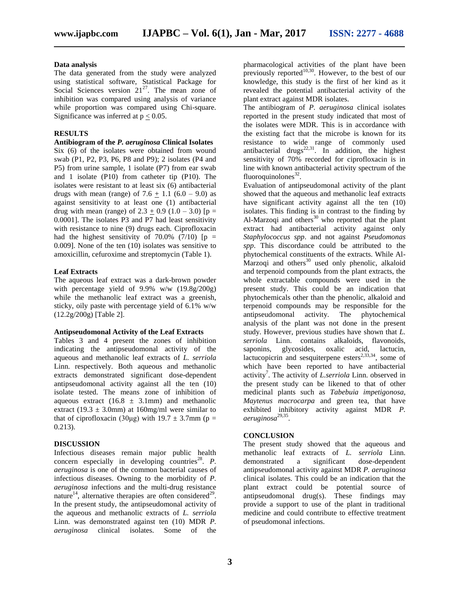#### **Data analysis**

The data generated from the study were analyzed using statistical software, Statistical Package for Social Sciences version  $21^{27}$ . The mean zone of inhibition was compared using analysis of variance while proportion was compared using Chi-square. Significance was inferred at  $p < 0.05$ .

#### **RESULTS**

**Antibiogram of the** *P. aeruginosa* **Clinical Isolates** Six (6) of the isolates were obtained from wound swab (P1, P2, P3, P6, P8 and P9); 2 isolates (P4 and P5) from urine sample, 1 isolate (P7) from ear swab and 1 isolate (P10) from catheter tip (P10). The isolates were resistant to at least six (6) antibacterial drugs with mean (range) of  $7.6 + 1.1$  (6.0 – 9.0) as against sensitivity to at least one (1) antibacterial drug with mean (range) of  $2.3 + 0.9$  (1.0 – 3.0) [p = 0.0001]. The isolates P3 and P7 had least sensitivity with resistance to nine (9) drugs each. Ciprofloxacin had the highest sensitivity of 70.0% (7/10)  $[p =$ 0.009]. None of the ten (10) isolates was sensitive to amoxicillin, cefuroxime and streptomycin (Table 1).

#### **Leaf Extracts**

The aqueous leaf extract was a dark-brown powder with percentage yield of  $9.9\%$  w/w  $(19.8g/200g)$ while the methanolic leaf extract was a greenish, sticky, oily paste with percentage yield of 6.1% w/w (12.2g/200g) [Table 2].

#### **Antipseudomonal Activity of the Leaf Extracts**

Tables 3 and 4 present the zones of inhibition indicating the antipseudomonal activity of the aqueous and methanolic leaf extracts of *L. serriola* Linn. respectively. Both aqueous and methanolic extracts demonstrated significant dose-dependent antipseudomonal activity against all the ten (10) isolate tested. The means zone of inhibition of aqueous extract  $(16.8 \pm 3.1 \text{mm})$  and methanolic extract (19.3  $\pm$  3.0mm) at 160mg/ml were similar to that of ciprofloxacin (30μg) with  $19.7 \pm 3.7$ mm (p = 0.213).

#### **DISCUSSION**

Infectious diseases remain major public health concern especially in developing countries<sup>28</sup>.  $P$ . *aeruginosa* is one of the common bacterial causes of infectious diseases. Owning to the morbidity of *P. aeruginosa* infections and the multi-drug resistance nature<sup>14</sup>, alternative therapies are often considered<sup>29</sup>. In the present study, the antipseudomonal activity of the aqueous and methanolic extracts of *L. serriola* Linn. was demonstrated against ten (10) MDR *P. aeruginosa* clinical isolates. Some of the

pharmacological activities of the plant have been previously reported $10,30$ . However, to the best of our knowledge, this study is the first of her kind as it revealed the potential antibacterial activity of the plant extract against MDR isolates.

The antibiogram of *P. aeruginosa* clinical isolates reported in the present study indicated that most of the isolates were MDR. This is in accordance with the existing fact that the microbe is known for its resistance to wide range of commonly used antibacterial drugs<sup>22,31</sup>. In addition, the highest sensitivity of 70% recorded for ciprofloxacin is in line with known antibacterial activity spectrum of the fluoroquinolones $^{32}$ .

Evaluation of antipseudomonal activity of the plant showed that the aqueous and methanolic leaf extracts have significant activity against all the ten (10) isolates. This finding is in contrast to the finding by Al-Marzoqi and others<sup>30</sup> who reported that the plant extract had antibacterial activity against only *Staphylococcus spp*. and not against *Pseudomonas spp*. This discordance could be attributed to the phytochemical constituents of the extracts. While Al- $\overline{M}$ arzoqi and others<sup>30</sup> used only phenolic, alkaloid and terpenoid compounds from the plant extracts, the whole extractable compounds were used in the present study. This could be an indication that phytochemicals other than the phenolic, alkaloid and terpenoid compounds may be responsible for the antipseudomonal activity. The phytochemical analysis of the plant was not done in the present study. However, previous studies have shown that *L. serriola* Linn. contains alkaloids, flavonoids, saponins, glycosides, oxalic acid, lactucin, lactucopicrin and sesquiterpene esters $2,33,34$ , some of which have been reported to have antibacterial activity<sup>7</sup>. The activity of *L.serriola* Linn. observed in the present study can be likened to that of other medicinal plants such as *Tabebuia impetigonosa, Maytenus macrocarpa* and green tea, that have exhibited inhibitory activity against MDR *P. aeruginosa*29,35 .

#### **CONCLUSION**

The present study showed that the aqueous and methanolic leaf extracts of *L. serriola* Linn. demonstrated a significant dose-dependent antipseudomonal activity against MDR *P. aeruginosa* clinical isolates. This could be an indication that the plant extract could be potential source of antipseudomonal drug(s). These findings may provide a support to use of the plant in traditional medicine and could contribute to effective treatment of pseudomonal infections.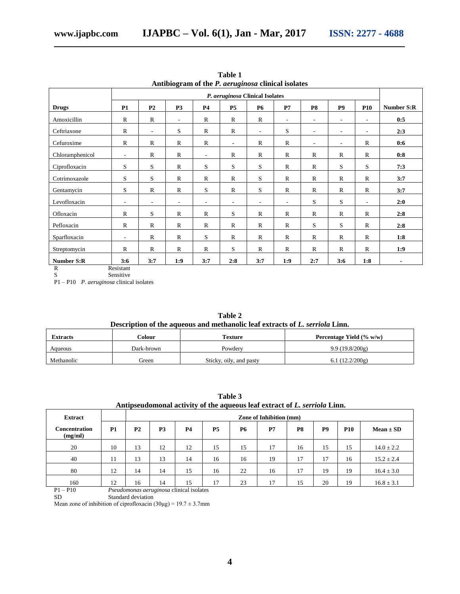|                   |                          | P. aeruginosa Clinical Isolates |                          |                          |                          |                          |                          |                          |                          |                          |                   |  |
|-------------------|--------------------------|---------------------------------|--------------------------|--------------------------|--------------------------|--------------------------|--------------------------|--------------------------|--------------------------|--------------------------|-------------------|--|
| <b>Drugs</b>      | <b>P1</b>                | P <sub>2</sub>                  | P <sub>3</sub>           | <b>P4</b>                | <b>P5</b>                | <b>P6</b>                | P7                       | <b>P8</b>                | <b>P9</b>                | <b>P10</b>               | <b>Number S:R</b> |  |
| Amoxicillin       | $\mathbb{R}$             | $\mathbb{R}$                    | $\overline{\phantom{a}}$ | $\mathbb{R}$             | $\mathbb{R}$             | $\mathbb{R}$             | $\sim$                   | $\sim$                   | $\sim$                   | $\overline{\phantom{a}}$ | 0:5               |  |
| Ceftriaxone       | $\mathbb{R}$             | $\overline{\phantom{a}}$        | S                        | $\mathbb{R}$             | $\mathbb{R}$             | $\overline{\phantom{a}}$ | S                        | $\sim$                   | $\overline{\phantom{a}}$ | $\overline{\phantom{a}}$ | 2:3               |  |
| Cefuroxime        | $\mathbb{R}$             | $\mathbb{R}$                    | $\mathbb{R}$             | $\mathbb{R}$             | $\overline{\phantom{a}}$ | $\mathbb{R}$             | $\mathbb{R}$             | $\overline{\phantom{a}}$ | $\overline{\phantom{a}}$ | $\mathbb{R}$             | 0:6               |  |
| Chloramphenicol   | $\overline{\phantom{a}}$ | $\mathbb{R}$                    | $\mathbb{R}$             | $\overline{\phantom{a}}$ | $\mathbb{R}$             | $\mathbb{R}$             | $\mathbb{R}$             | $\mathbb{R}$             | $\mathbb{R}$             | $\mathbb{R}$             | 0:8               |  |
| Ciprofloxacin     | S                        | S                               | $\mathbb{R}$             | S                        | S                        | S                        | $\mathbb{R}$             | $\mathbb{R}$             | S                        | S                        | 7:3               |  |
| Cotrimoxazole     | S                        | S                               | $\mathbb{R}$             | $\mathbb{R}$             | $\mathbb{R}$             | S                        | $\mathbb{R}$             | $\mathbb{R}$             | $\mathbb{R}$             | $\mathbf R$              | 3:7               |  |
| Gentamycin        | S                        | $\mathbb{R}$                    | $\mathbb{R}$             | S                        | $\mathbb{R}$             | S                        | $\mathbb{R}$             | $\mathbb{R}$             | $\mathbb{R}$             | $\mathbb{R}$             | 3:7               |  |
| Levofloxacin      | $\overline{\phantom{a}}$ | $\overline{\phantom{a}}$        | $\overline{\phantom{a}}$ | $\overline{\phantom{a}}$ | $\overline{\phantom{a}}$ | $\overline{\phantom{a}}$ | $\overline{\phantom{a}}$ | S                        | S                        | $\overline{\phantom{a}}$ | 2:0               |  |
| Ofloxacin         | $\mathbb{R}$             | S                               | $\mathbb{R}$             | $\mathbb{R}$             | S                        | $\mathbb{R}$             | $\mathbb{R}$             | $\mathbb{R}$             | $\mathbb{R}$             | $\mathbb{R}$             | 2:8               |  |
| Pefloxacin        | $\mathbb{R}$             | $\mathbb{R}$                    | $\mathbb{R}$             | $\mathbb{R}$             | $\mathbb{R}$             | $\mathbb{R}$             | $\mathbb{R}$             | S                        | S                        | $\mathbb{R}$             | 2:8               |  |
| Sparfloxacin      | $\overline{\phantom{a}}$ | $\mathbb{R}$                    | $\mathbb{R}$             | S                        | $\mathbb{R}$             | $\mathbb{R}$             | $\mathbb{R}$             | $\mathbb{R}$             | $\mathbb{R}$             | $\mathbb{R}$             | 1:8               |  |
| Streptomycin      | $\mathbb{R}$             | $\mathbb{R}$                    | $\mathbb{R}$             | $\mathbb{R}$             | S                        | R                        | $\mathbb{R}$             | $\mathbb{R}$             | $\mathbb{R}$             | $\mathbb{R}$             | 1:9               |  |
| <b>Number S:R</b> | 3:6                      | 3:7                             | 1:9                      | 3:7                      | 2:8                      | 3:7                      | 1:9                      | 2:7                      | 3:6                      | 1:8                      | $\blacksquare$    |  |

**Table 1 Antibiogram of the** *P. aeruginosa* **clinical isolates**

R Resistant S Sensitive

P1 – P10 *P. aeruginosa* clinical isolates

| Table 2                                                                      |
|------------------------------------------------------------------------------|
| Description of the aqueous and methanolic leaf extracts of L. serriola Linn. |

| <b>Extracts</b> | <b>Colour</b> | <b>Texture</b>          | Percentage Yield $(\% w/w)$ |  |  |  |  |
|-----------------|---------------|-------------------------|-----------------------------|--|--|--|--|
| Aqueous         | Dark-brown    | Powdery                 | 9.9(19.8/200g)              |  |  |  |  |
| Methanolic      | Green         | Sticky, oily, and pasty | 6.1 $(12.2/200g)$           |  |  |  |  |

| Antipseudomonal activity of the aqueous leaf extract of L. serriold Linn. |           |                                |                |                                                 |           |           |    |    |                |            |                |
|---------------------------------------------------------------------------|-----------|--------------------------------|----------------|-------------------------------------------------|-----------|-----------|----|----|----------------|------------|----------------|
| <b>Extract</b>                                                            |           | <b>Zone of Inhibition (mm)</b> |                |                                                 |           |           |    |    |                |            |                |
| <b>Concentration</b><br>(mg/ml)                                           | <b>P1</b> | P <sub>2</sub>                 | P <sub>3</sub> | <b>P4</b>                                       | <b>P5</b> | <b>P6</b> | P7 | P8 | P <sub>9</sub> | <b>P10</b> | $Mean \pm SD$  |
| 20                                                                        | 10        | 13                             | 12             | 12                                              | 15        | 15        | 17 | 16 | 15             | 15         | $14.0 \pm 2.2$ |
| 40                                                                        | 11        | 13                             | 13             | 14                                              | 16        | 16        | 19 | 17 | 17             | 16         | $15.2 \pm 2.4$ |
| 80                                                                        | 12        | 14                             | 14             | 15                                              | 16        | 22        | 16 | 17 | 19             | 19         | $16.4 \pm 3.0$ |
| 160                                                                       | 12        | 16                             | 14             | 15                                              | 17        | 23        | 17 | 15 | 20             | 19         | $16.8 \pm 3.1$ |
| $P1 - P10$                                                                |           |                                |                | <i>Pseudomonas aeruginosa</i> clinical isolates |           |           |    |    |                |            |                |

**Table 3 Antipseudomonal activity of the aqueous leaf extract of** *L. serriola* **Linn.**

P1 – P10 *Pseudomonas aeruginosa* clinical isolates

SD Standard deviation

Mean zone of inhibition of ciprofloxacin  $(30\mu g) = 19.7 \pm 3.7$ mm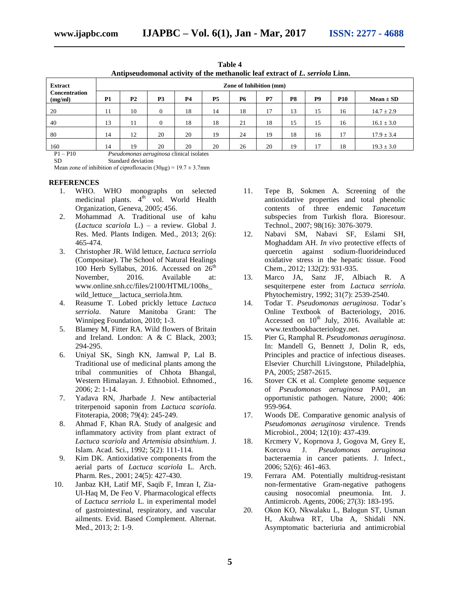| Antipseudomonal activity of the methanolic leaf extract of L. serriola Linn. |                  |                                |           |                               |           |           |                |    |                |            |                |  |
|------------------------------------------------------------------------------|------------------|--------------------------------|-----------|-------------------------------|-----------|-----------|----------------|----|----------------|------------|----------------|--|
| <b>Extract</b>                                                               |                  | <b>Zone of Inhibition (mm)</b> |           |                               |           |           |                |    |                |            |                |  |
| Concentration<br>(mg/ml)                                                     | <b>P1</b>        | P <sub>2</sub>                 | <b>P3</b> | <b>P4</b>                     | <b>P5</b> | <b>P6</b> | P <sub>7</sub> | P8 | P <sub>9</sub> | <b>P10</b> | $Mean \pm SD$  |  |
| 20                                                                           | 11               | 10                             | $\Omega$  | 18                            | 14        | 18        | 17             | 13 | 15             | 16         | $14.7 \pm 2.9$ |  |
| 40                                                                           | 13               | 11                             | $\Omega$  | 18                            | 18        | 21        | 18             | 15 | 15             | 16         | $16.1 \pm 3.0$ |  |
| 80                                                                           | 14               | 12                             | 20        | 20                            | 19        | 24        | 19             | 18 | 16             | 17         | $17.9 \pm 3.4$ |  |
| 160<br>E <sub>10</sub><br>T <sub>1</sub>                                     | 14<br>$\sqrt{2}$ | 19                             | 20        | 20<br>$-11$ $-11$ $-11$ $-11$ | 20        | 26        | 20             | 19 |                | 18         | $19.3 \pm 3.0$ |  |

**Table 4**

P1 – P10 *Pseudomonas aeruginosa* clinical isolates Standard deviation

Mean zone of inhibition of ciprofloxacin  $(30\mu g) = 19.7 \pm 3.7$ mm

#### **REFERENCES**

- 1. WHO. WHO monographs on selected medicinal plants.  $4<sup>th</sup>$  vol. World Health Organization, Geneva, 2005; 456.
- 2. Mohammad A. Traditional use of kahu (*Lactuca scariola* L.) – a review. Global J. Res. Med. Plants Indigen. Med., 2013; 2(6): 465-474.
- 3. Christopher JR. Wild lettuce, *Lactuca serriola* (Compositae). The School of Natural Healings 100 Herb Syllabus, 2016. Accessed on  $26<sup>th</sup>$ November, 2016. Available at: www.online.snh.cc/files/2100/HTML/100hs\_ wild lettuce lactuca serriola.htm.
- 4. Reasume T. Lobed prickly lettuce *Lactuca serriola*. Nature Manitoba Grant: The Winnipeg Foundation, 2010; 1-3.
- 5. Blamey M, Fitter RA. Wild flowers of Britain and Ireland. London: A & C Black, 2003; 294-295.
- 6. Uniyal SK, Singh KN, Jamwal P, Lal B. Traditional use of medicinal plants among the tribal communities of Chhota Bhangal, Western Himalayan. J. Ethnobiol. Ethnomed., 2006; 2: 1-14.
- 7. Yadava RN, Jharbade J. New antibacterial triterpenoid saponin from *Lactuca scariola.* Fitoterapia, 2008; 79(4): 245-249.
- 8. Ahmad F, Khan RA. Study of analgesic and inflammatory activity from plant extract of *Lactuca scariola* and *Artemisia absinthium*. J. Islam. Acad. Sci., 1992; 5(2): 111-114.
- 9. Kim DK. Antioxidative components from the aerial parts of *Lactuca scariola* L. Arch. Pharm. Res., 2001; 24(5): 427-430.
- 10. Janbaz KH, Latif MF, Saqib F, Imran I, Zia-Ul-Haq M, De Feo V. Pharmacological effects of *Lactuca serriola* L. in experimental model of gastrointestinal, respiratory, and vascular ailments. Evid. Based Complement. Alternat. Med., 2013; 2: 1-9.
- 11. Tepe B, Sokmen A. Screening of the antioxidative properties and total phenolic contents of three endemic *Tanacetum*  subspecies from Turkish flora. Bioresour. Technol., 2007; 98(16): 3076-3079.
- 12. Nabavi SM, Nabavi SF, Eslami SH, Moghaddam AH. *In vivo* protective effects of quercetin against sodium-fluorideinduced oxidative stress in the hepatic tissue. Food Chem., 2012; 132(2): 931-935.
- 13. Marco JA, Sanz JF, Albiach R. A sesquiterpene ester from *Lactuca serriola.*  Phytochemistry, 1992; 31(7): 2539-2540.
- 14. Todar T. *Pseudomonas aeruginosa*. Todar's Online Textbook of Bacteriology, 2016. Accessed on  $10<sup>th</sup>$  July, 2016. Available at: www.textbookbacteriology.net.
- 15. Pier G, Ramphal R. *Pseudomonas aeruginosa*. In: Mandell G, Bennett J, Dolin R, eds, Principles and practice of infectious diseases. Elsevier Churchill Livingstone, Philadelphia, PA, 2005; 2587-2615.
- 16. Stover CK et al. Complete genome sequence of *Pseudomonas aeruginosa* PA01, an opportunistic pathogen. Nature, 2000; 406: 959-964.
- 17. Woods DE. Comparative genomic analysis of *Pseudomonas aeruginosa* virulence. Trends Microbiol., 2004; 12(10): 437-439.
- 18. Krcmery V, Koprnova J, Gogova M, Grey E, Korcova J. *Pseudomonas aeruginosa* bacteraemia in cancer patients. J. Infect., 2006; 52(6): 461-463.
- 19. Ferrara AM. Potentially multidrug-resistant non-fermentative Gram-negative pathogens causing nosocomial pneumonia. Int. J. Antimicrob. Agents, 2006; 27(3): 183-195.
- 20. Okon KO, Nkwalaku L, Balogun ST, Usman H, Akuhwa RT, Uba A, Shidali NN. Asymptomatic bacteriuria and antimicrobial